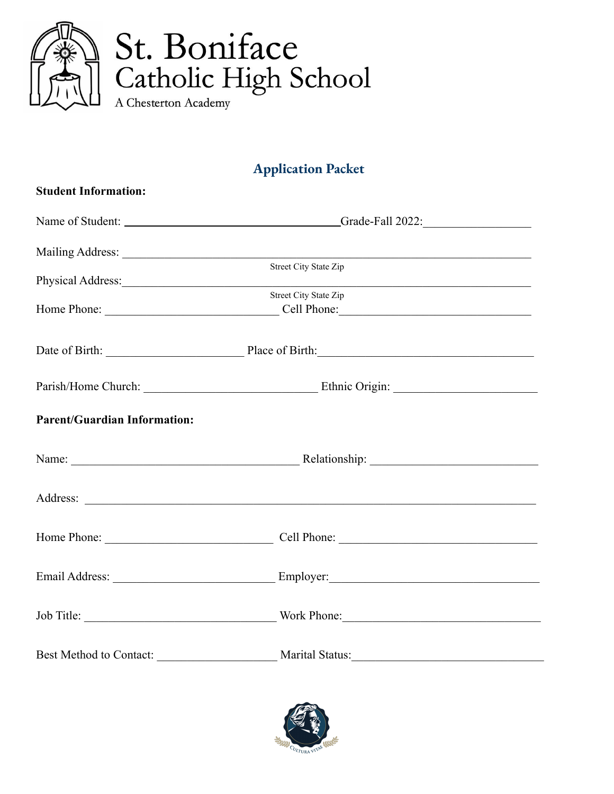

## **Application Packet**

| <b>Student Information:</b>         |                                                                                                                                                                                                                                                                |  |  |
|-------------------------------------|----------------------------------------------------------------------------------------------------------------------------------------------------------------------------------------------------------------------------------------------------------------|--|--|
|                                     |                                                                                                                                                                                                                                                                |  |  |
|                                     |                                                                                                                                                                                                                                                                |  |  |
|                                     | <b>Street City State Zip</b><br>Physical Address: Note and the contract of the contract of the contract of the contract of the contract of the contract of the contract of the contract of the contract of the contract of the contract of the contract of the |  |  |
|                                     | <b>Street City State Zip</b>                                                                                                                                                                                                                                   |  |  |
|                                     |                                                                                                                                                                                                                                                                |  |  |
|                                     |                                                                                                                                                                                                                                                                |  |  |
| <b>Parent/Guardian Information:</b> |                                                                                                                                                                                                                                                                |  |  |
|                                     |                                                                                                                                                                                                                                                                |  |  |
|                                     |                                                                                                                                                                                                                                                                |  |  |
|                                     |                                                                                                                                                                                                                                                                |  |  |
|                                     |                                                                                                                                                                                                                                                                |  |  |
|                                     |                                                                                                                                                                                                                                                                |  |  |
|                                     | Best Method to Contact: Marital Status:                                                                                                                                                                                                                        |  |  |

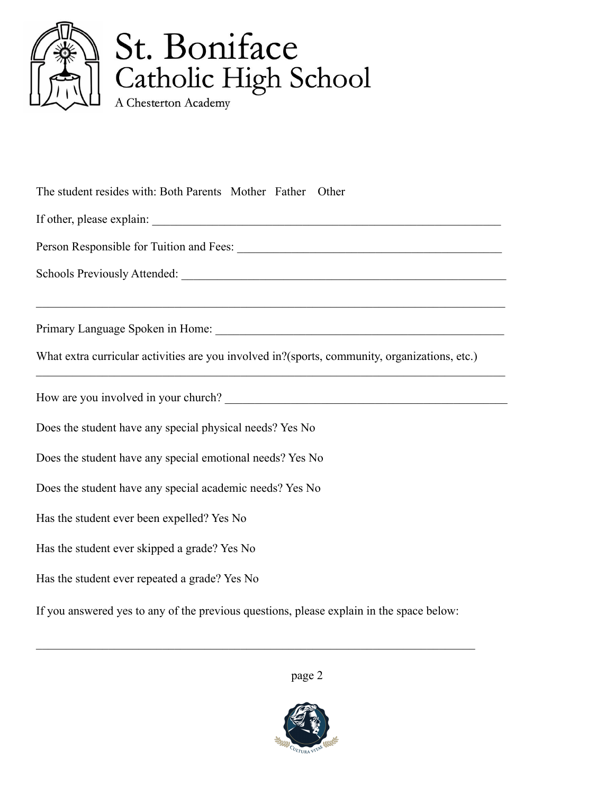

The student resides with: Both Parents Mother Father Other

If other, please explain: \_\_\_\_\_\_\_\_\_\_\_\_\_\_\_\_\_\_\_\_\_\_\_\_\_\_\_\_\_\_\_\_\_\_\_\_\_\_\_\_\_\_\_\_\_\_\_\_\_\_\_\_\_\_\_\_\_\_

Person Responsible for Tuition and Fees: \_\_\_\_\_\_\_\_\_\_\_\_\_\_\_\_\_\_\_\_\_\_\_\_\_\_\_\_\_\_\_\_\_\_\_\_\_\_\_\_\_\_\_\_

Schools Previously Attended: \_\_\_\_\_\_\_\_\_\_\_\_\_\_\_\_\_\_\_\_\_\_\_\_\_\_\_\_\_\_\_\_\_\_\_\_\_\_\_\_\_\_\_\_\_\_\_\_\_\_\_\_\_\_

Primary Language Spoken in Home:  $\blacksquare$ 

What extra curricular activities are you involved in?(sports, community, organizations, etc.)

 $\mathcal{L}_\mathcal{L} = \{ \mathcal{L}_\mathcal{L} = \{ \mathcal{L}_\mathcal{L} = \{ \mathcal{L}_\mathcal{L} = \{ \mathcal{L}_\mathcal{L} = \{ \mathcal{L}_\mathcal{L} = \{ \mathcal{L}_\mathcal{L} = \{ \mathcal{L}_\mathcal{L} = \{ \mathcal{L}_\mathcal{L} = \{ \mathcal{L}_\mathcal{L} = \{ \mathcal{L}_\mathcal{L} = \{ \mathcal{L}_\mathcal{L} = \{ \mathcal{L}_\mathcal{L} = \{ \mathcal{L}_\mathcal{L} = \{ \mathcal{L}_\mathcal{$ 

 $\mathcal{L}_\mathcal{L} = \{ \mathcal{L}_\mathcal{L} = \{ \mathcal{L}_\mathcal{L} = \{ \mathcal{L}_\mathcal{L} = \{ \mathcal{L}_\mathcal{L} = \{ \mathcal{L}_\mathcal{L} = \{ \mathcal{L}_\mathcal{L} = \{ \mathcal{L}_\mathcal{L} = \{ \mathcal{L}_\mathcal{L} = \{ \mathcal{L}_\mathcal{L} = \{ \mathcal{L}_\mathcal{L} = \{ \mathcal{L}_\mathcal{L} = \{ \mathcal{L}_\mathcal{L} = \{ \mathcal{L}_\mathcal{L} = \{ \mathcal{L}_\mathcal{$ 

How are you involved in your church?

Does the student have any special physical needs? Yes No

Does the student have any special emotional needs? Yes No

Does the student have any special academic needs? Yes No

Has the student ever been expelled? Yes No

Has the student ever skipped a grade? Yes No

Has the student ever repeated a grade? Yes No

If you answered yes to any of the previous questions, please explain in the space below:

 $\mathcal{L}_\mathcal{L} = \mathcal{L}_\mathcal{L} = \mathcal{L}_\mathcal{L} = \mathcal{L}_\mathcal{L} = \mathcal{L}_\mathcal{L} = \mathcal{L}_\mathcal{L} = \mathcal{L}_\mathcal{L} = \mathcal{L}_\mathcal{L} = \mathcal{L}_\mathcal{L} = \mathcal{L}_\mathcal{L} = \mathcal{L}_\mathcal{L} = \mathcal{L}_\mathcal{L} = \mathcal{L}_\mathcal{L} = \mathcal{L}_\mathcal{L} = \mathcal{L}_\mathcal{L} = \mathcal{L}_\mathcal{L} = \mathcal{L}_\mathcal{L}$ 

page 2

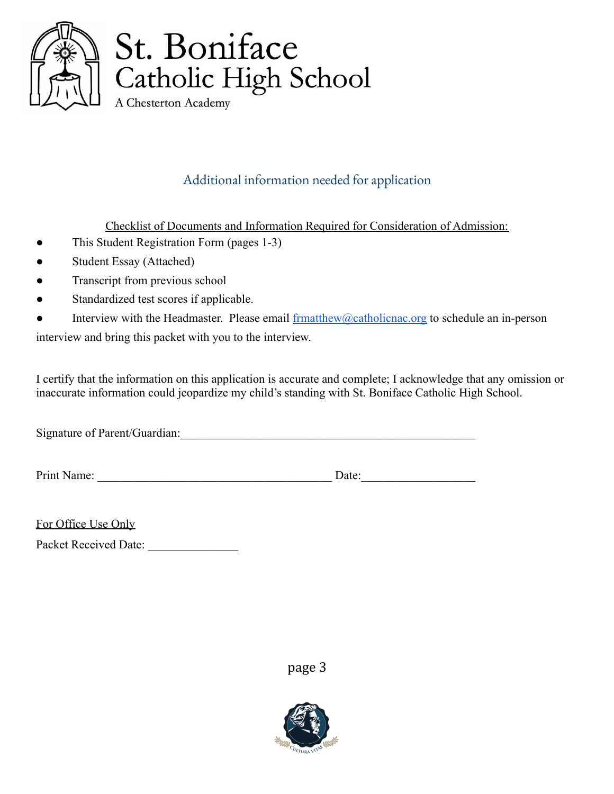

## Additional information needed for application

Checklist of Documents and Information Required for Consideration of Admission:

- This Student Registration Form (pages 1-3)
- Student Essay (Attached)
- Transcript from previous school
- Standardized test scores if applicable.
- Interview with the Headmaster. Please email  $\frac{\text{frmatthev@catholicnac.org}}{\text{frmatthev@catholicnac.org}}$  to schedule an in-person interview and bring this packet with you to the interview.

I certify that the information on this application is accurate and complete; I acknowledge that any omission or inaccurate information could jeopardize my child's standing with St. Boniface Catholic High School.

Signature of Parent/Guardian:\_\_\_\_\_\_\_\_\_\_\_\_\_\_\_\_\_\_\_\_\_\_\_\_\_\_\_\_\_\_\_\_\_\_\_\_\_\_\_\_\_\_\_\_\_\_\_\_\_

Print Name: \_\_\_\_\_\_\_\_\_\_\_\_\_\_\_\_\_\_\_\_\_\_\_\_\_\_\_\_\_\_\_\_\_\_\_\_\_\_\_ Date:\_\_\_\_\_\_\_\_\_\_\_\_\_\_\_\_\_\_\_

| For Office Use Only |  |  |
|---------------------|--|--|
|                     |  |  |

Packet Received Date: \_\_\_\_\_\_\_\_\_\_\_\_\_\_\_

page 3

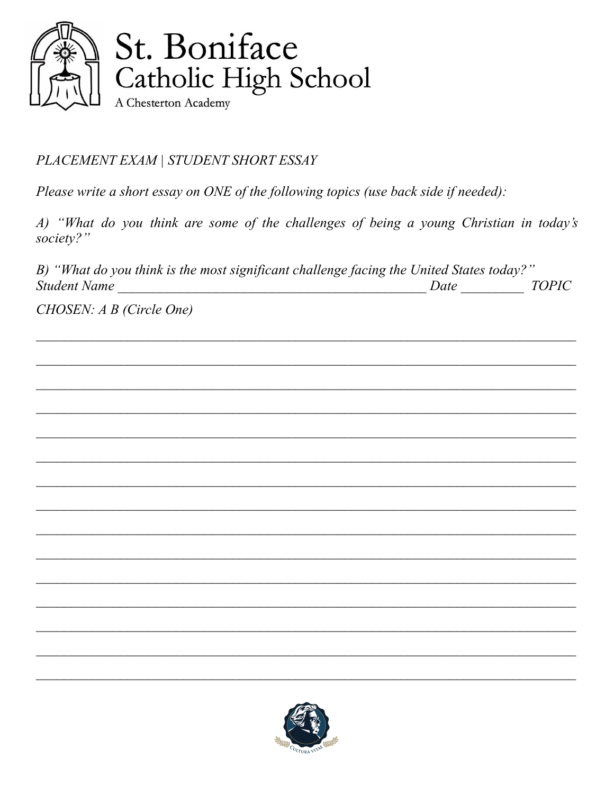

PLACEMENT EXAM | STUDENT SHORT ESSAY

Please write a short essay on ONE of the following topics (use back side if needed):

A) "What do you think are some of the challenges of being a young Christian in today's society?"

B) "What do you think is the most significant challenge facing the United States today?"  $Date$ **TOPIC Student Name** 

CHOSEN: A B (Circle One)